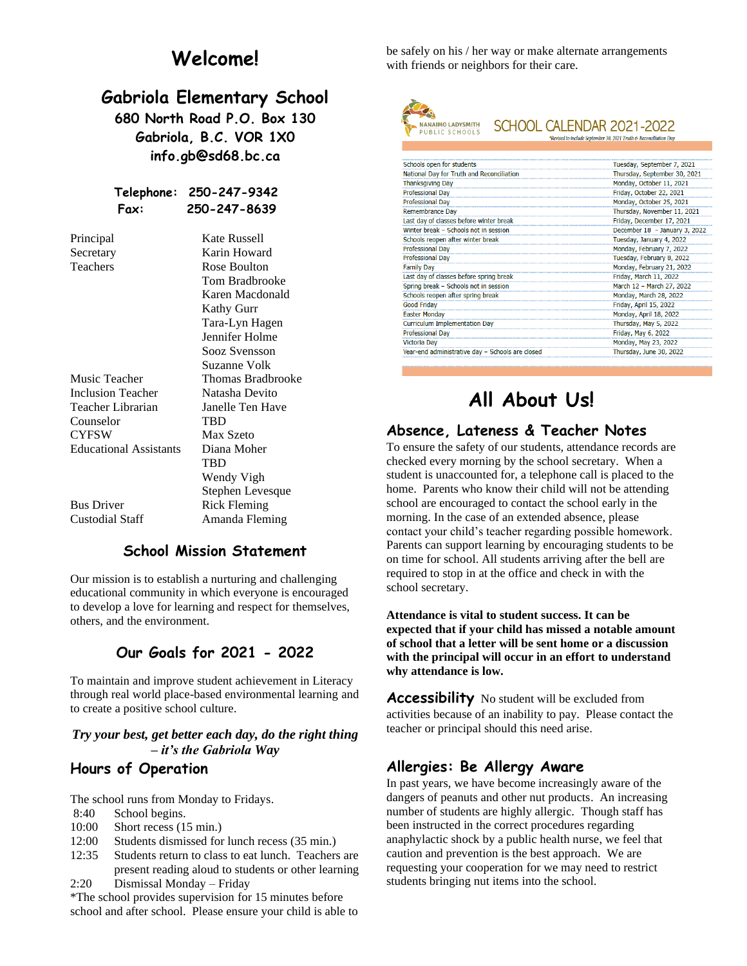# **Welcome!**

# **Gabriola Elementary School**

**680 North Road P.O. Box 130 Gabriola, B.C. VOR 1X0 info.gb@sd68.bc.ca**

#### **Telephone: 250-247-9342 Fax: 250-247-8639**

| Principal                     | <b>Kate Russell</b> |
|-------------------------------|---------------------|
| Secretary                     | Karin Howard        |
| Teachers                      | Rose Boulton        |
|                               | Tom Bradbrooke      |
|                               | Karen Macdonald     |
|                               | Kathy Gurr          |
|                               | Tara-Lyn Hagen      |
|                               | Jennifer Holme      |
|                               | Sooz Svensson       |
|                               | Suzanne Volk        |
| Music Teacher                 | Thomas Bradbrooke   |
| <b>Inclusion Teacher</b>      | Natasha Devito      |
| Teacher Librarian             | Janelle Ten Have    |
| Counselor                     | TBD                 |
| <b>CYFSW</b>                  | <b>Max Szeto</b>    |
| <b>Educational Assistants</b> | Diana Moher         |
|                               | TBD                 |
|                               | Wendy Vigh          |
|                               | Stephen Levesque    |
| <b>Bus Driver</b>             | <b>Rick Fleming</b> |
| Custodial Staff               | Amanda Fleming      |
|                               |                     |

### **School Mission Statement**

Our mission is to establish a nurturing and challenging educational community in which everyone is encouraged to develop a love for learning and respect for themselves, others, and the environment.

### **Our Goals for 2021 - 2022**

To maintain and improve student achievement in Literacy through real world place-based environmental learning and to create a positive school culture.

#### *Try your best, get better each day, do the right thing – it's the Gabriola Way*

#### **Hours of Operation**

The school runs from Monday to Fridays.

- 8:40 School begins.
- 10:00 Short recess (15 min.)
- 12:00 Students dismissed for lunch recess (35 min.)
- 12:35 Students return to class to eat lunch. Teachers are present reading aloud to students or other learning 2:20 Dismissal Monday – Friday

\*The school provides supervision for 15 minutes before school and after school. Please ensure your child is able to be safely on his / her way or make alternate arrangements with friends or neighbors for their care.



#### SCHOOL CALENDAR 2021-2022 \*Revised to include September 30, 2021 Truth & Reconciliation Day

| Schools open for students                        | Tuesday, September 7, 2021    |
|--------------------------------------------------|-------------------------------|
| National Day for Truth and Reconciliation        | Thursday, September 30, 2021  |
| <b>Thanksgiving Day</b>                          | Monday, October 11, 2021      |
| <b>Professional Day</b>                          | Friday, October 22, 2021      |
| <b>Professional Day</b>                          | Monday, October 25, 2021      |
| Remembrance Day                                  | Thursday, November 11, 2021   |
| Last day of classes before winter break          | Friday, December 17, 2021     |
| Winter break - Schools not in session            | December 18 - January 3, 2022 |
| Schools reopen after winter break                | Tuesday, January 4, 2022      |
| <b>Professional Day</b>                          | Monday, February 7, 2022      |
| <b>Professional Day</b>                          | Tuesday, February 8, 2022     |
| <b>Family Day</b>                                | Monday, February 21, 2022     |
| Last day of classes before spring break          | Friday, March 11, 2022        |
| Spring break - Schools not in session            | March 12 - March 27, 2022     |
| Schools reopen after spring break                | Monday, March 28, 2022        |
| <b>Good Friday</b>                               | Friday, April 15, 2022        |
| <b>Easter Monday</b>                             | Monday, April 18, 2022        |
| <b>Curriculum Implementation Day</b>             | Thursday, May 5, 2022         |
| <b>Professional Day</b>                          | Friday, May 6, 2022           |
| <b>Victoria Day</b>                              | Monday, May 23, 2022          |
| Year-end administrative day - Schools are closed | Thursday, June 30, 2022       |
|                                                  |                               |

# **All About Us!**

### **Absence, Lateness & Teacher Notes**

To ensure the safety of our students, attendance records are checked every morning by the school secretary. When a student is unaccounted for, a telephone call is placed to the home. Parents who know their child will not be attending school are encouraged to contact the school early in the morning. In the case of an extended absence, please contact your child's teacher regarding possible homework. Parents can support learning by encouraging students to be on time for school. All students arriving after the bell are required to stop in at the office and check in with the school secretary.

**Attendance is vital to student success. It can be expected that if your child has missed a notable amount of school that a letter will be sent home or a discussion with the principal will occur in an effort to understand why attendance is low.**

**Accessibility** No student will be excluded from activities because of an inability to pay. Please contact the teacher or principal should this need arise.

### **Allergies: Be Allergy Aware**

In past years, we have become increasingly aware of the dangers of peanuts and other nut products. An increasing number of students are highly allergic. Though staff has been instructed in the correct procedures regarding anaphylactic shock by a public health nurse, we feel that caution and prevention is the best approach. We are requesting your cooperation for we may need to restrict students bringing nut items into the school.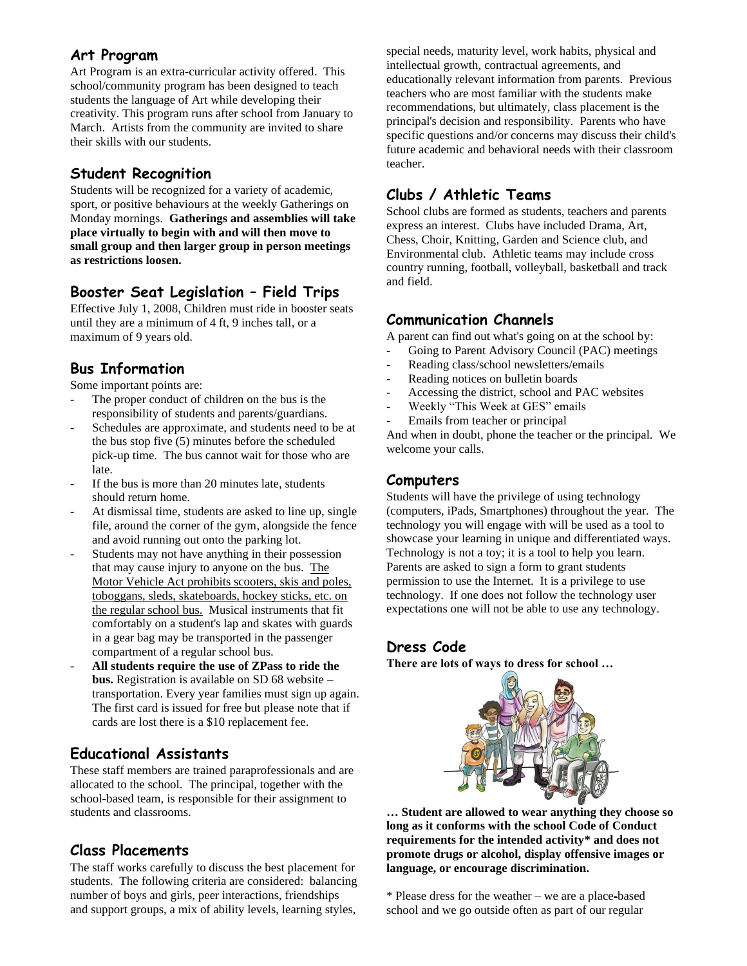### **Art Program**

Art Program is an extra-curricular activity offered. This school/community program has been designed to teach students the language of Art while developing their creativity. This program runs after school from January to March. Artists from the community are invited to share their skills with our students.

# **Student Recognition**

Students will be recognized for a variety of academic, sport, or positive behaviours at the weekly Gatherings on Monday mornings. **Gatherings and assemblies will take place virtually to begin with and will then move to small group and then larger group in person meetings as restrictions loosen.**

# **Booster Seat Legislation – Field Trips**

Effective July 1, 2008, Children must ride in booster seats until they are a minimum of 4 ft, 9 inches tall, or a maximum of 9 years old.

# **Bus Information**

Some important points are:

- The proper conduct of children on the bus is the responsibility of students and parents/guardians.
- Schedules are approximate, and students need to be at the bus stop five (5) minutes before the scheduled pick-up time. The bus cannot wait for those who are late.
- If the bus is more than 20 minutes late, students should return home.
- At dismissal time, students are asked to line up, single file, around the corner of the gym, alongside the fence and avoid running out onto the parking lot.
- Students may not have anything in their possession that may cause injury to anyone on the bus. The Motor Vehicle Act prohibits scooters, skis and poles, toboggans, sleds, skateboards, hockey sticks, etc. on the regular school bus. Musical instruments that fit comfortably on a student's lap and skates with guards in a gear bag may be transported in the passenger compartment of a regular school bus.
- **All students require the use of ZPass to ride the bus.** Registration is available on SD 68 website – transportation. Every year families must sign up again. The first card is issued for free but please note that if cards are lost there is a \$10 replacement fee.

### **Educational Assistants**

These staff members are trained paraprofessionals and are allocated to the school. The principal, together with the school-based team, is responsible for their assignment to students and classrooms.

### **Class Placements**

The staff works carefully to discuss the best placement for students. The following criteria are considered: balancing number of boys and girls, peer interactions, friendships and support groups, a mix of ability levels, learning styles,

special needs, maturity level, work habits, physical and intellectual growth, contractual agreements, and educationally relevant information from parents. Previous teachers who are most familiar with the students make recommendations, but ultimately, class placement is the principal's decision and responsibility. Parents who have specific questions and/or concerns may discuss their child's future academic and behavioral needs with their classroom teacher.

# **Clubs / Athletic Teams**

School clubs are formed as students, teachers and parents express an interest. Clubs have included Drama, Art, Chess, Choir, Knitting, Garden and Science club, and Environmental club. Athletic teams may include cross country running, football, volleyball, basketball and track and field.

### **Communication Channels**

A parent can find out what's going on at the school by:

- Going to Parent Advisory Council (PAC) meetings
- Reading class/school newsletters/emails
- Reading notices on bulletin boards
- Accessing the district, school and PAC websites
- Weekly "This Week at GES" emails
- Emails from teacher or principal

And when in doubt, phone the teacher or the principal. We welcome your calls.

### **Computers**

Students will have the privilege of using technology (computers, iPads, Smartphones) throughout the year. The technology you will engage with will be used as a tool to showcase your learning in unique and differentiated ways. Technology is not a toy; it is a tool to help you learn. Parents are asked to sign a form to grant students permission to use the Internet. It is a privilege to use technology. If one does not follow the technology user expectations one will not be able to use any technology.

### **Dress Code**

**There are lots of ways to dress for school …**



**… Student are allowed to wear anything they choose so long as it conforms with the school Code of Conduct requirements for the intended activity\* and does not promote drugs or alcohol, display offensive images or language, or encourage discrimination.** 

\* Please dress for the weather – we are a place-based school and we go outside often as part of our regular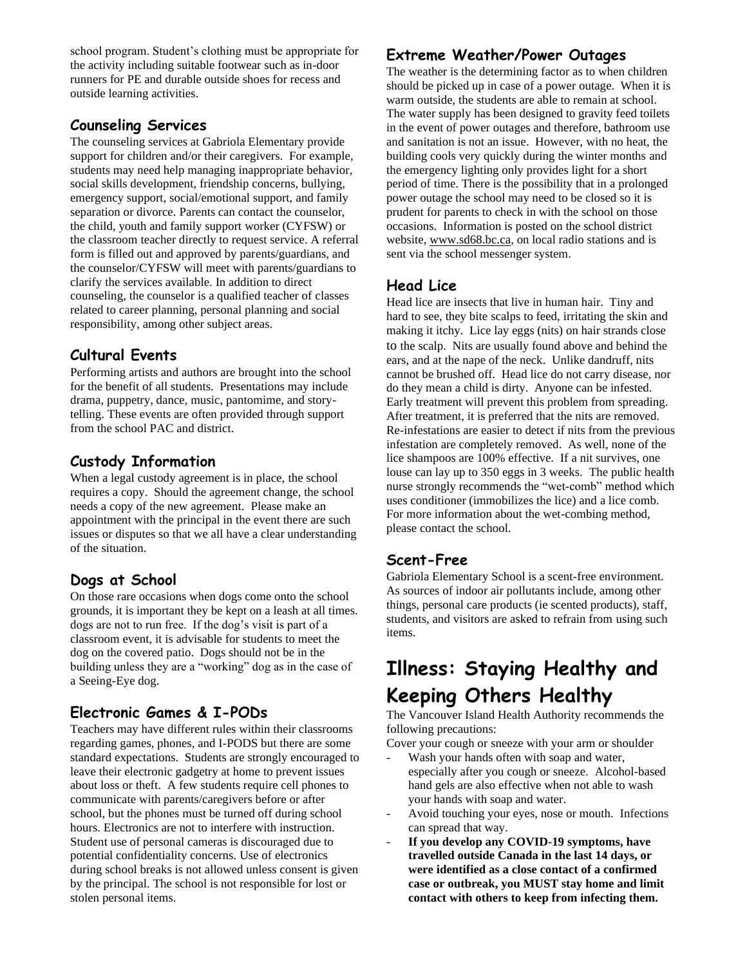school program. Student's clothing must be appropriate for the activity including suitable footwear such as in-door runners for PE and durable outside shoes for recess and outside learning activities.

### **Counseling Services**

The counseling services at Gabriola Elementary provide support for children and/or their caregivers. For example, students may need help managing inappropriate behavior, social skills development, friendship concerns, bullying, emergency support, social/emotional support, and family separation or divorce. Parents can contact the counselor, the child, youth and family support worker (CYFSW) or the classroom teacher directly to request service. A referral form is filled out and approved by parents/guardians, and the counselor/CYFSW will meet with parents/guardians to clarify the services available. In addition to direct counseling, the counselor is a qualified teacher of classes related to career planning, personal planning and social responsibility, among other subject areas.

# **Cultural Events**

Performing artists and authors are brought into the school for the benefit of all students. Presentations may include drama, puppetry, dance, music, pantomime, and storytelling. These events are often provided through support from the school PAC and district.

# **Custody Information**

When a legal custody agreement is in place, the school requires a copy. Should the agreement change, the school needs a copy of the new agreement. Please make an appointment with the principal in the event there are such issues or disputes so that we all have a clear understanding of the situation.

# **Dogs at School**

On those rare occasions when dogs come onto the school grounds, it is important they be kept on a leash at all times. dogs are not to run free. If the dog's visit is part of a classroom event, it is advisable for students to meet the dog on the covered patio. Dogs should not be in the building unless they are a "working" dog as in the case of a Seeing-Eye dog.

# **Electronic Games & I-PODs**

Teachers may have different rules within their classrooms regarding games, phones, and I-PODS but there are some standard expectations. Students are strongly encouraged to leave their electronic gadgetry at home to prevent issues about loss or theft. A few students require cell phones to communicate with parents/caregivers before or after school, but the phones must be turned off during school hours. Electronics are not to interfere with instruction. Student use of personal cameras is discouraged due to potential confidentiality concerns. Use of electronics during school breaks is not allowed unless consent is given by the principal. The school is not responsible for lost or stolen personal items.

# **Extreme Weather/Power Outages**

The weather is the determining factor as to when children should be picked up in case of a power outage. When it is warm outside, the students are able to remain at school. The water supply has been designed to gravity feed toilets in the event of power outages and therefore, bathroom use and sanitation is not an issue. However, with no heat, the building cools very quickly during the winter months and the emergency lighting only provides light for a short period of time. There is the possibility that in a prolonged power outage the school may need to be closed so it is prudent for parents to check in with the school on those occasions. Information is posted on the school district website, [www.sd68.bc.ca,](http://www.sd68.bc.ca/) on local radio stations and is sent via the school messenger system.

### **Head Lice**

Head lice are insects that live in human hair. Tiny and hard to see, they bite scalps to feed, irritating the skin and making it itchy. Lice lay eggs (nits) on hair strands close to the scalp. Nits are usually found above and behind the ears, and at the nape of the neck. Unlike dandruff, nits cannot be brushed off. Head lice do not carry disease, nor do they mean a child is dirty. Anyone can be infested. Early treatment will prevent this problem from spreading. After treatment, it is preferred that the nits are removed. Re-infestations are easier to detect if nits from the previous infestation are completely removed. As well, none of the lice shampoos are 100% effective. If a nit survives, one louse can lay up to 350 eggs in 3 weeks. The public health nurse strongly recommends the "wet-comb" method which uses conditioner (immobilizes the lice) and a lice comb. For more information about the wet-combing method, please contact the school.

# **Scent-Free**

Gabriola Elementary School is a scent-free environment. As sources of indoor air pollutants include, among other things, personal care products (ie scented products), staff, students, and visitors are asked to refrain from using such items.

# **Illness: Staying Healthy and Keeping Others Healthy**

The Vancouver Island Health Authority recommends the following precautions:

Cover your cough or sneeze with your arm or shoulder

- Wash your hands often with soap and water, especially after you cough or sneeze. Alcohol-based hand gels are also effective when not able to wash your hands with soap and water.
- Avoid touching your eyes, nose or mouth. Infections can spread that way.
- **If you develop any COVID-19 symptoms, have travelled outside Canada in the last 14 days, or were identified as a close contact of a confirmed case or outbreak, you MUST stay home and limit contact with others to keep from infecting them.**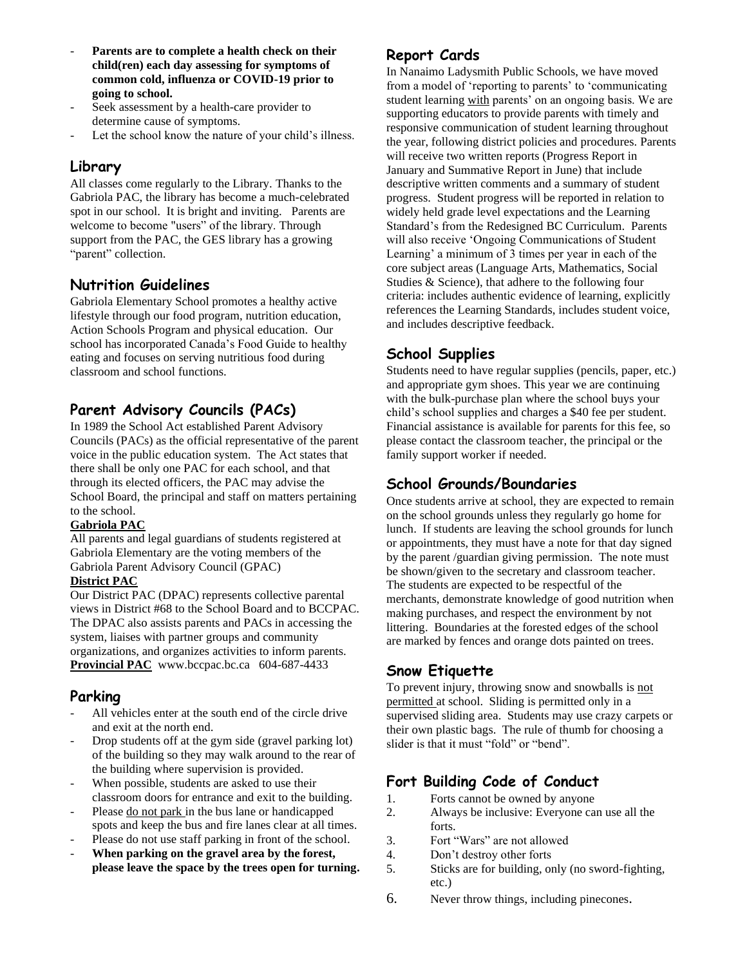- Parents are to complete a health check on their **child(ren) each day assessing for symptoms of common cold, influenza or COVID-19 prior to going to school.**
- Seek assessment by a health-care provider to determine cause of symptoms.
- Let the school know the nature of your child's illness.

### **Library**

All classes come regularly to the Library. Thanks to the Gabriola PAC, the library has become a much-celebrated spot in our school. It is bright and inviting. Parents are welcome to become "users" of the library. Through support from the PAC, the GES library has a growing "parent" collection.

#### **Nutrition Guidelines**

Gabriola Elementary School promotes a healthy active lifestyle through our food program, nutrition education, Action Schools Program and physical education. Our school has incorporated Canada's Food Guide to healthy eating and focuses on serving nutritious food during classroom and school functions.

### **Parent Advisory Councils (PACs)**

In 1989 the School Act established Parent Advisory Councils (PACs) as the official representative of the parent voice in the public education system. The Act states that there shall be only one PAC for each school, and that through its elected officers, the PAC may advise the School Board, the principal and staff on matters pertaining to the school.

#### **Gabriola PAC**

All parents and legal guardians of students registered at Gabriola Elementary are the voting members of the Gabriola Parent Advisory Council (GPAC)

#### **District PAC**

Our District PAC (DPAC) represents collective parental views in District #68 to the School Board and to BCCPAC. The DPAC also assists parents and PACs in accessing the system, liaises with partner groups and community organizations, and organizes activities to inform parents. **Provincial PAC** www.bccpac.bc.ca 604-687-4433

#### **Parking**

- All vehicles enter at the south end of the circle drive and exit at the north end.
- Drop students off at the gym side (gravel parking lot) of the building so they may walk around to the rear of the building where supervision is provided.
- When possible, students are asked to use their classroom doors for entrance and exit to the building.
- Please do not park in the bus lane or handicapped spots and keep the bus and fire lanes clear at all times.
- Please do not use staff parking in front of the school.
- When parking on the gravel area by the forest, **please leave the space by the trees open for turning.**

### **Report Cards**

In Nanaimo Ladysmith Public Schools, we have moved from a model of 'reporting to parents' to 'communicating student learning with parents' on an ongoing basis. We are supporting educators to provide parents with timely and responsive communication of student learning throughout the year, following district policies and procedures. Parents will receive two written reports (Progress Report in January and Summative Report in June) that include descriptive written comments and a summary of student progress. Student progress will be reported in relation to widely held grade level expectations and the Learning Standard's from the Redesigned BC Curriculum. Parents will also receive 'Ongoing Communications of Student Learning' a minimum of 3 times per year in each of the core subject areas (Language Arts, Mathematics, Social Studies & Science), that adhere to the following four criteria: includes authentic evidence of learning, explicitly references the Learning Standards, includes student voice, and includes descriptive feedback.

### **School Supplies**

Students need to have regular supplies (pencils, paper, etc.) and appropriate gym shoes. This year we are continuing with the bulk-purchase plan where the school buys your child's school supplies and charges a \$40 fee per student. Financial assistance is available for parents for this fee, so please contact the classroom teacher, the principal or the family support worker if needed.

### **School Grounds/Boundaries**

Once students arrive at school, they are expected to remain on the school grounds unless they regularly go home for lunch. If students are leaving the school grounds for lunch or appointments, they must have a note for that day signed by the parent /guardian giving permission. The note must be shown/given to the secretary and classroom teacher. The students are expected to be respectful of the merchants, demonstrate knowledge of good nutrition when making purchases, and respect the environment by not littering. Boundaries at the forested edges of the school are marked by fences and orange dots painted on trees.

### **Snow Etiquette**

To prevent injury, throwing snow and snowballs is not permitted at school. Sliding is permitted only in a supervised sliding area. Students may use crazy carpets or their own plastic bags. The rule of thumb for choosing a slider is that it must "fold" or "bend".

### **Fort Building Code of Conduct**

- 1. Forts cannot be owned by anyone
- 2. Always be inclusive: Everyone can use all the forts.
- 3. Fort "Wars" are not allowed
- 4. Don't destroy other forts
- 5. Sticks are for building, only (no sword-fighting, etc.)
- 6. Never throw things, including pinecones.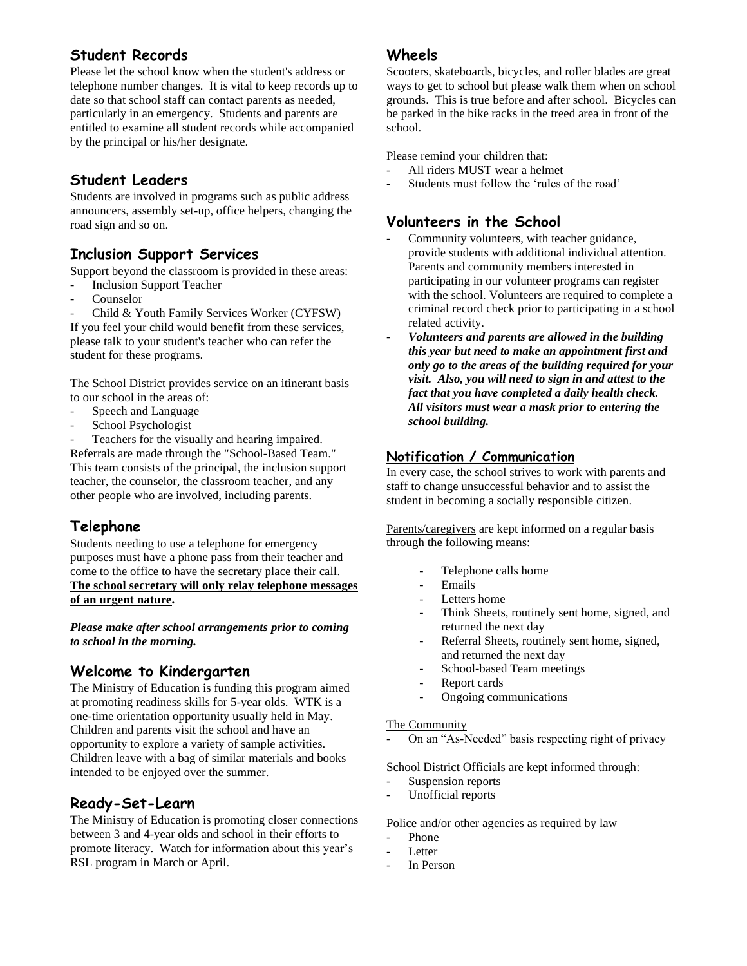### **Student Records**

Please let the school know when the student's address or telephone number changes. It is vital to keep records up to date so that school staff can contact parents as needed, particularly in an emergency. Students and parents are entitled to examine all student records while accompanied by the principal or his/her designate.

### **Student Leaders**

Students are involved in programs such as public address announcers, assembly set-up, office helpers, changing the road sign and so on.

### **Inclusion Support Services**

Support beyond the classroom is provided in these areas:

- Inclusion Support Teacher
- **Counselor**
- Child & Youth Family Services Worker (CYFSW)

If you feel your child would benefit from these services, please talk to your student's teacher who can refer the student for these programs.

The School District provides service on an itinerant basis to our school in the areas of:

- Speech and Language
- School Psychologist

Teachers for the visually and hearing impaired. Referrals are made through the "School-Based Team." This team consists of the principal, the inclusion support teacher, the counselor, the classroom teacher, and any

other people who are involved, including parents.

# **Telephone**

Students needing to use a telephone for emergency purposes must have a phone pass from their teacher and come to the office to have the secretary place their call. **The school secretary will only relay telephone messages of an urgent nature.**

*Please make after school arrangements prior to coming to school in the morning.* 

### **Welcome to Kindergarten**

The Ministry of Education is funding this program aimed at promoting readiness skills for 5-year olds. WTK is a one-time orientation opportunity usually held in May. Children and parents visit the school and have an opportunity to explore a variety of sample activities. Children leave with a bag of similar materials and books intended to be enjoyed over the summer.

### **Ready-Set-Learn**

The Ministry of Education is promoting closer connections between 3 and 4-year olds and school in their efforts to promote literacy. Watch for information about this year's RSL program in March or April.

#### **Wheels**

Scooters, skateboards, bicycles, and roller blades are great ways to get to school but please walk them when on school grounds. This is true before and after school. Bicycles can be parked in the bike racks in the treed area in front of the school.

Please remind your children that:

- All riders MUST wear a helmet
- Students must follow the 'rules of the road'

### **Volunteers in the School**

- Community volunteers, with teacher guidance, provide students with additional individual attention. Parents and community members interested in participating in our volunteer programs can register with the school. Volunteers are required to complete a criminal record check prior to participating in a school related activity.
- *Volunteers and parents are allowed in the building this year but need to make an appointment first and only go to the areas of the building required for your visit. Also, you will need to sign in and attest to the fact that you have completed a daily health check. All visitors must wear a mask prior to entering the school building.*

### **Notification / Communication**

In every case, the school strives to work with parents and staff to change unsuccessful behavior and to assist the student in becoming a socially responsible citizen.

Parents/caregivers are kept informed on a regular basis through the following means:

- Telephone calls home
- Emails
- Letters home
- Think Sheets, routinely sent home, signed, and returned the next day
- Referral Sheets, routinely sent home, signed, and returned the next day
- School-based Team meetings
- Report cards
- Ongoing communications

#### The Community

On an "As-Needed" basis respecting right of privacy

School District Officials are kept informed through:

- Suspension reports
- Unofficial reports

#### Police and/or other agencies as required by law

- Phone
- Letter
- In Person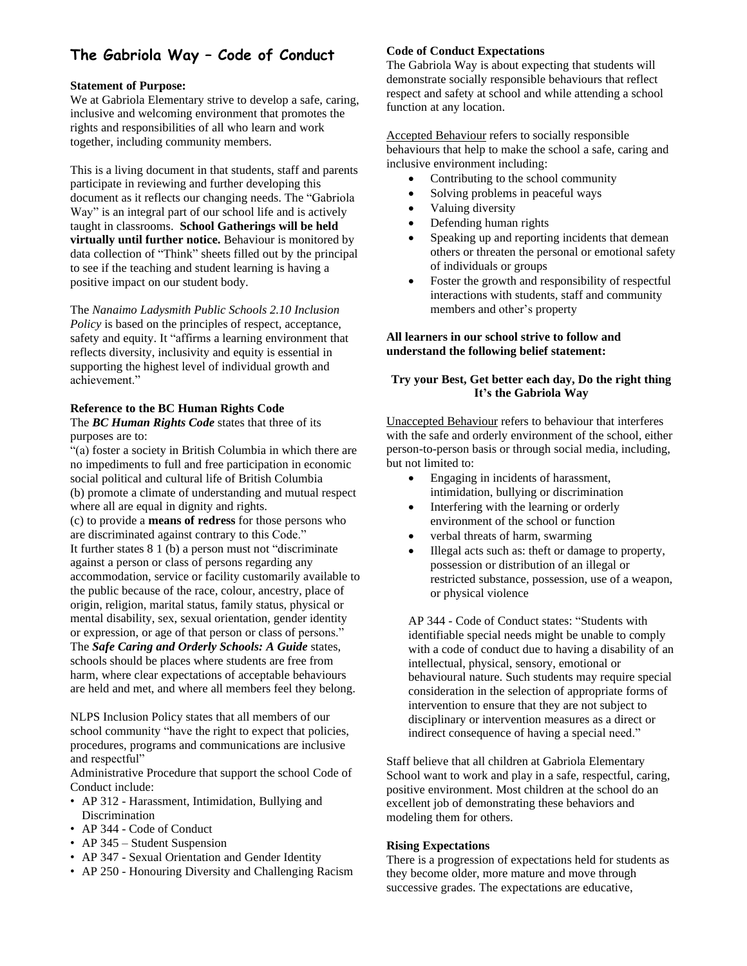# **The Gabriola Way – Code of Conduct**

#### **Statement of Purpose:**

We at Gabriola Elementary strive to develop a safe, caring, inclusive and welcoming environment that promotes the rights and responsibilities of all who learn and work together, including community members.

This is a living document in that students, staff and parents participate in reviewing and further developing this document as it reflects our changing needs. The "Gabriola Way" is an integral part of our school life and is actively taught in classrooms. **School Gatherings will be held virtually until further notice.** Behaviour is monitored by data collection of "Think" sheets filled out by the principal to see if the teaching and student learning is having a positive impact on our student body.

The *Nanaimo Ladysmith Public Schools 2.10 Inclusion Policy* is based on the principles of respect, acceptance, safety and equity. It "affirms a learning environment that reflects diversity, inclusivity and equity is essential in supporting the highest level of individual growth and achievement."

#### **Reference to the BC Human Rights Code**

The *BC Human Rights Code* states that three of its purposes are to:

"(a) foster a society in British Columbia in which there are no impediments to full and free participation in economic social political and cultural life of British Columbia (b) promote a climate of understanding and mutual respect where all are equal in dignity and rights.

(c) to provide a **means of redress** for those persons who are discriminated against contrary to this Code." It further states 8 1 (b) a person must not "discriminate against a person or class of persons regarding any accommodation, service or facility customarily available to the public because of the race, colour, ancestry, place of origin, religion, marital status, family status, physical or mental disability, sex, sexual orientation, gender identity or expression, or age of that person or class of persons." The *Safe Caring and Orderly Schools: A Guide* states, schools should be places where students are free from harm, where clear expectations of acceptable behaviours are held and met, and where all members feel they belong.

NLPS Inclusion Policy states that all members of our school community "have the right to expect that policies, procedures, programs and communications are inclusive and respectful"

Administrative Procedure that support the school Code of Conduct include:

- AP 312 Harassment, Intimidation, Bullying and Discrimination
- AP 344 Code of Conduct
- AP 345 Student Suspension
- AP 347 Sexual Orientation and Gender Identity
- AP 250 Honouring Diversity and Challenging Racism

#### **Code of Conduct Expectations**

The Gabriola Way is about expecting that students will demonstrate socially responsible behaviours that reflect respect and safety at school and while attending a school function at any location.

Accepted Behaviour refers to socially responsible behaviours that help to make the school a safe, caring and inclusive environment including:

- Contributing to the school community
- Solving problems in peaceful ways
- Valuing diversity
- Defending human rights
- Speaking up and reporting incidents that demean others or threaten the personal or emotional safety of individuals or groups
- Foster the growth and responsibility of respectful interactions with students, staff and community members and other's property

#### **All learners in our school strive to follow and understand the following belief statement:**

#### **Try your Best, Get better each day, Do the right thing It's the Gabriola Way**

Unaccepted Behaviour refers to behaviour that interferes with the safe and orderly environment of the school, either person-to-person basis or through social media, including, but not limited to:

- Engaging in incidents of harassment, intimidation, bullying or discrimination
- Interfering with the learning or orderly environment of the school or function
- verbal threats of harm, swarming
- Illegal acts such as: theft or damage to property, possession or distribution of an illegal or restricted substance, possession, use of a weapon, or physical violence

AP 344 - Code of Conduct states: "Students with identifiable special needs might be unable to comply with a code of conduct due to having a disability of an intellectual, physical, sensory, emotional or behavioural nature. Such students may require special consideration in the selection of appropriate forms of intervention to ensure that they are not subject to disciplinary or intervention measures as a direct or indirect consequence of having a special need."

Staff believe that all children at Gabriola Elementary School want to work and play in a safe, respectful, caring, positive environment. Most children at the school do an excellent job of demonstrating these behaviors and modeling them for others.

#### **Rising Expectations**

There is a progression of expectations held for students as they become older, more mature and move through successive grades. The expectations are educative,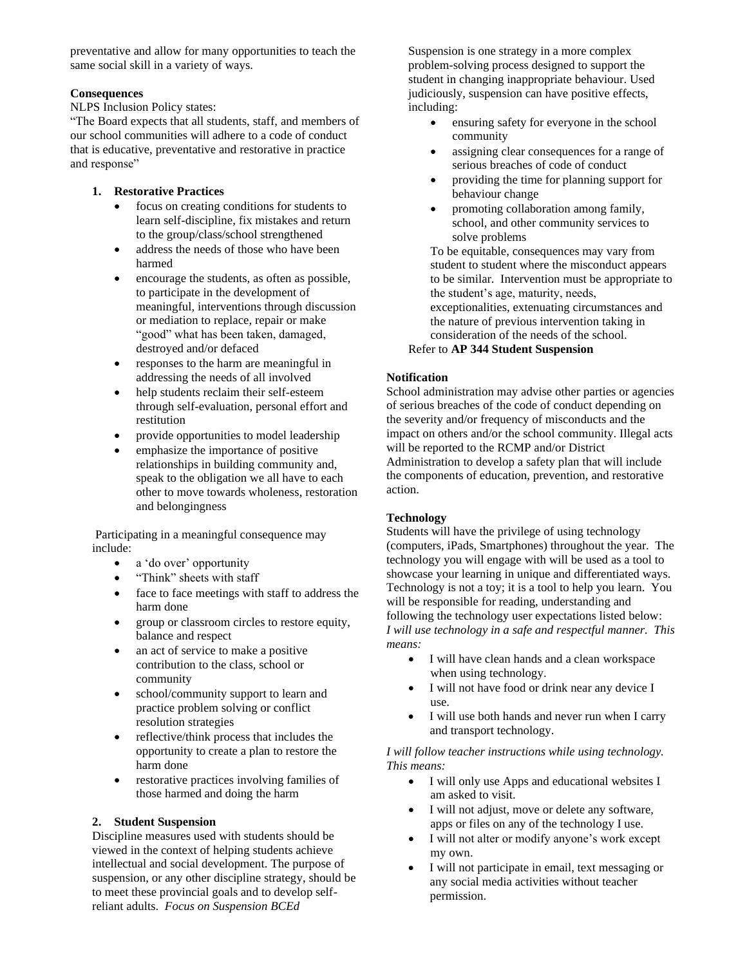preventative and allow for many opportunities to teach the same social skill in a variety of ways.

#### **Consequences**

NLPS Inclusion Policy states:

"The Board expects that all students, staff, and members of our school communities will adhere to a code of conduct that is educative, preventative and restorative in practice and response"

#### **1. Restorative Practices**

- focus on creating conditions for students to learn self-discipline, fix mistakes and return to the group/class/school strengthened
- address the needs of those who have been harmed
- encourage the students, as often as possible, to participate in the development of meaningful, interventions through discussion or mediation to replace, repair or make "good" what has been taken, damaged, destroyed and/or defaced
- responses to the harm are meaningful in addressing the needs of all involved
- help students reclaim their self-esteem through self-evaluation, personal effort and restitution
- provide opportunities to model leadership
- emphasize the importance of positive relationships in building community and, speak to the obligation we all have to each other to move towards wholeness, restoration and belongingness

Participating in a meaningful consequence may include:

- a 'do over' opportunity
- "Think" sheets with staff
- face to face meetings with staff to address the harm done
- group or classroom circles to restore equity, balance and respect
- an act of service to make a positive contribution to the class, school or community
- school/community support to learn and practice problem solving or conflict resolution strategies
- reflective/think process that includes the opportunity to create a plan to restore the harm done
- restorative practices involving families of those harmed and doing the harm

#### **2. Student Suspension**

Discipline measures used with students should be viewed in the context of helping students achieve intellectual and social development. The purpose of suspension, or any other discipline strategy, should be to meet these provincial goals and to develop selfreliant adults. *Focus on Suspension BCEd* 

Suspension is one strategy in a more complex problem-solving process designed to support the student in changing inappropriate behaviour. Used judiciously, suspension can have positive effects, including:

- ensuring safety for everyone in the school community
- assigning clear consequences for a range of serious breaches of code of conduct
- providing the time for planning support for behaviour change
- promoting collaboration among family, school, and other community services to solve problems

To be equitable, consequences may vary from student to student where the misconduct appears to be similar. Intervention must be appropriate to the student's age, maturity, needs, exceptionalities, extenuating circumstances and the nature of previous intervention taking in consideration of the needs of the school.

#### Refer to **AP 344 Student Suspension**

#### **Notification**

School administration may advise other parties or agencies of serious breaches of the code of conduct depending on the severity and/or frequency of misconducts and the impact on others and/or the school community. Illegal acts will be reported to the RCMP and/or District Administration to develop a safety plan that will include the components of education, prevention, and restorative action.

#### **Technology**

Students will have the privilege of using technology (computers, iPads, Smartphones) throughout the year. The technology you will engage with will be used as a tool to showcase your learning in unique and differentiated ways. Technology is not a toy; it is a tool to help you learn. You will be responsible for reading, understanding and following the technology user expectations listed below: *I will use technology in a safe and respectful manner. This means:*

- I will have clean hands and a clean workspace when using technology.
- I will not have food or drink near any device I use.
- I will use both hands and never run when I carry and transport technology.

#### *I will follow teacher instructions while using technology. This means:*

- I will only use Apps and educational websites I am asked to visit.
- I will not adjust, move or delete any software, apps or files on any of the technology I use.
- I will not alter or modify anyone's work except my own.
- I will not participate in email, text messaging or any social media activities without teacher permission.